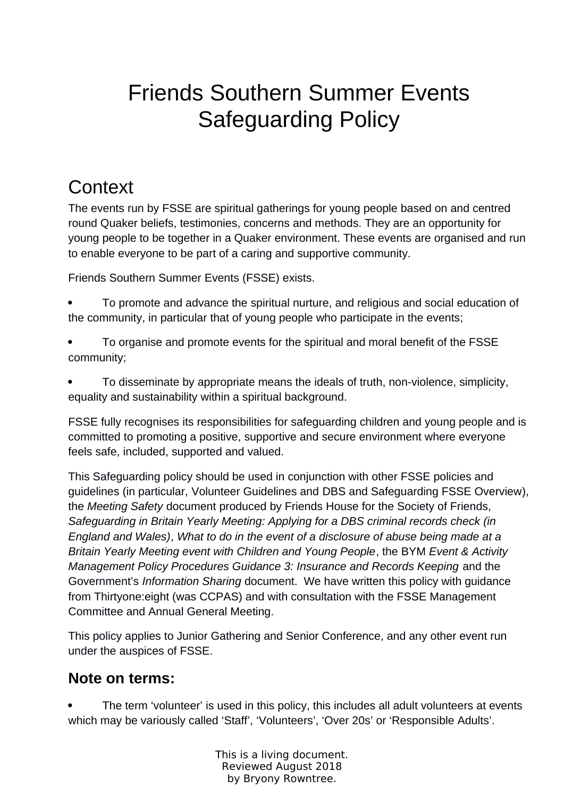# Friends Southern Summer Events Safeguarding Policy

# **Context**

The events run by FSSE are spiritual gatherings for young people based on and centred round Quaker beliefs, testimonies, concerns and methods. They are an opportunity for young people to be together in a Quaker environment. These events are organised and run to enable everyone to be part of a caring and supportive community.

Friends Southern Summer Events (FSSE) exists.

- To promote and advance the spiritual nurture, and religious and social education of the community, in particular that of young people who participate in the events;
- To organise and promote events for the spiritual and moral benefit of the FSSE community;
- To disseminate by appropriate means the ideals of truth, non-violence, simplicity, equality and sustainability within a spiritual background.

FSSE fully recognises its responsibilities for safeguarding children and young people and is committed to promoting a positive, supportive and secure environment where everyone feels safe, included, supported and valued.

This Safeguarding policy should be used in conjunction with other FSSE policies and guidelines (in particular, Volunteer Guidelines and DBS and Safeguarding FSSE Overview), the *Meeting Safety* document produced by Friends House for the Society of Friends, *Safeguarding in Britain Yearly Meeting: Applying for a DBS criminal records check (in England and Wales)*, *What to do in the event of a disclosure of abuse being made at a Britain Yearly Meeting event with Children and Young People*, the BYM *Event & Activity Management Policy Procedures Guidance 3: Insurance and Records Keeping* and the Government's *Information Sharing* document. We have written this policy with guidance from Thirtyone:eight (was CCPAS) and with consultation with the FSSE Management Committee and Annual General Meeting.

This policy applies to Junior Gathering and Senior Conference, and any other event run under the auspices of FSSE.

### **Note on terms:**

 The term 'volunteer' is used in this policy, this includes all adult volunteers at events which may be variously called 'Staff', 'Volunteers', 'Over 20s' or 'Responsible Adults'.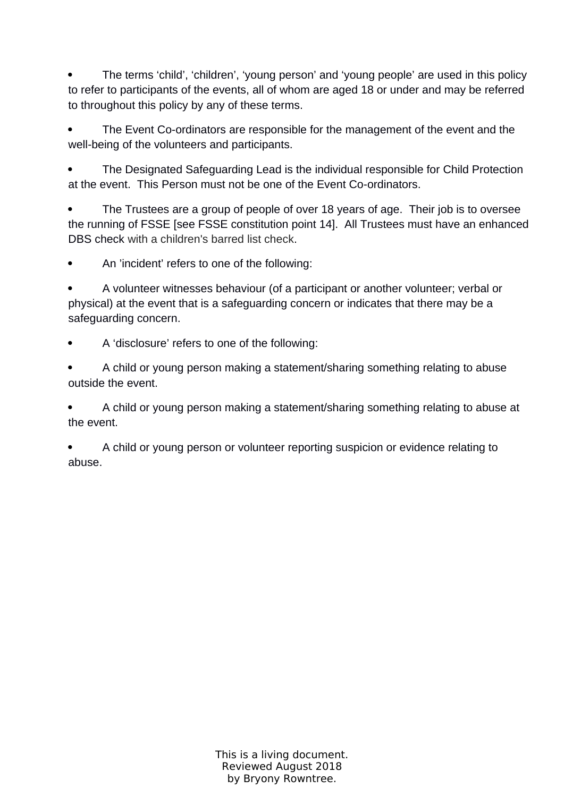• The terms 'child', 'children', 'young person' and 'young people' are used in this policy to refer to participants of the events, all of whom are aged 18 or under and may be referred to throughout this policy by any of these terms.

 The Event Co-ordinators are responsible for the management of the event and the well-being of the volunteers and participants.

• The Designated Safeguarding Lead is the individual responsible for Child Protection at the event. This Person must not be one of the Event Co-ordinators.

 The Trustees are a group of people of over 18 years of age. Their job is to oversee the running of FSSE [see FSSE constitution point 14]. All Trustees must have an enhanced DBS check with a children's barred list check.

An 'incident' refers to one of the following:

 A volunteer witnesses behaviour (of a participant or another volunteer; verbal or physical) at the event that is a safeguarding concern or indicates that there may be a safeguarding concern.

A 'disclosure' refers to one of the following:

 A child or young person making a statement/sharing something relating to abuse outside the event.

 A child or young person making a statement/sharing something relating to abuse at the event.

 A child or young person or volunteer reporting suspicion or evidence relating to abuse.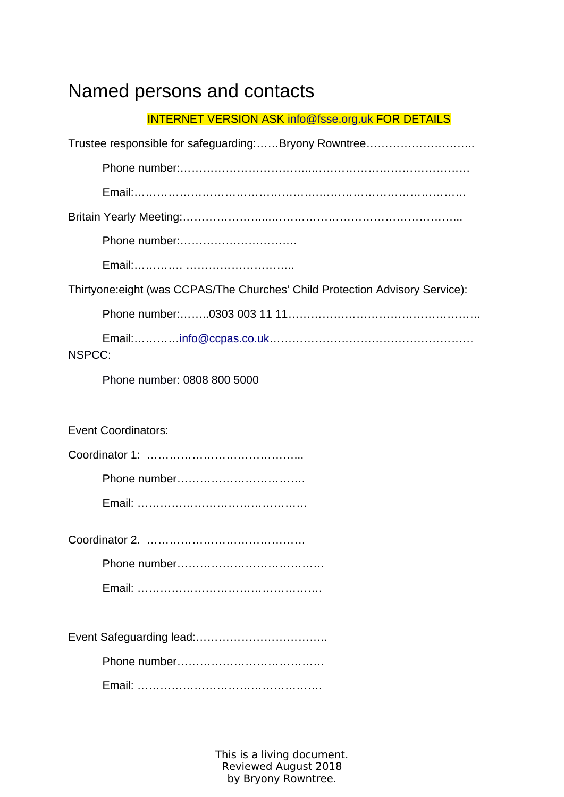# Named persons and contacts

| <b>INTERNET VERSION ASK info@fsse.org.uk FOR DETAILS</b>                      |
|-------------------------------------------------------------------------------|
|                                                                               |
|                                                                               |
|                                                                               |
|                                                                               |
| Phone number:                                                                 |
|                                                                               |
| Thirtyone: eight (was CCPAS/The Churches' Child Protection Advisory Service): |
|                                                                               |
| NSPCC:                                                                        |
| Phone number: 0808 800 5000                                                   |
|                                                                               |
| <b>Event Coordinators:</b>                                                    |
|                                                                               |
|                                                                               |
|                                                                               |
|                                                                               |
|                                                                               |
|                                                                               |
|                                                                               |
|                                                                               |
|                                                                               |
|                                                                               |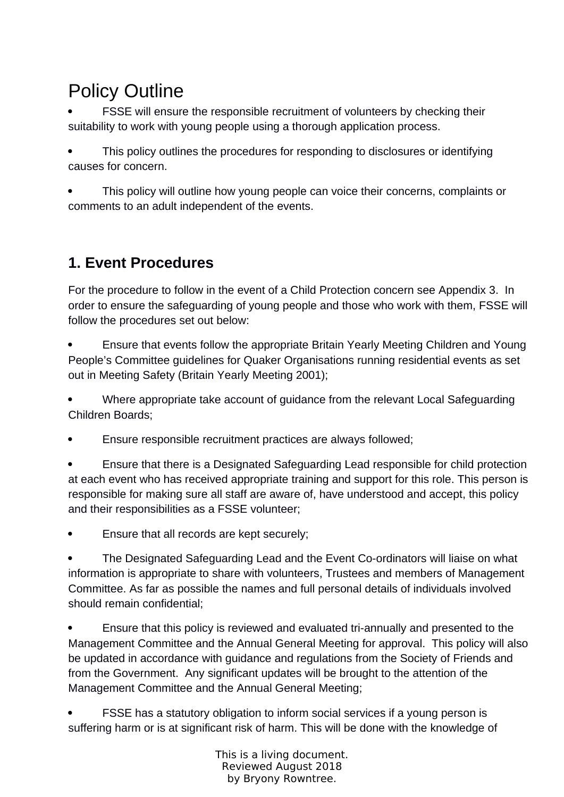# Policy Outline

 FSSE will ensure the responsible recruitment of volunteers by checking their suitability to work with young people using a thorough application process.

 This policy outlines the procedures for responding to disclosures or identifying causes for concern.

 This policy will outline how young people can voice their concerns, complaints or comments to an adult independent of the events.

## **1. Event Procedures**

For the procedure to follow in the event of a Child Protection concern see Appendix 3. In order to ensure the safeguarding of young people and those who work with them, FSSE will follow the procedures set out below:

 Ensure that events follow the appropriate Britain Yearly Meeting Children and Young People's Committee guidelines for Quaker Organisations running residential events as set out in Meeting Safety (Britain Yearly Meeting 2001);

 Where appropriate take account of guidance from the relevant Local Safeguarding Children Boards;

Ensure responsible recruitment practices are always followed;

 Ensure that there is a Designated Safeguarding Lead responsible for child protection at each event who has received appropriate training and support for this role. This person is responsible for making sure all staff are aware of, have understood and accept, this policy and their responsibilities as a FSSE volunteer;

Ensure that all records are kept securely;

 The Designated Safeguarding Lead and the Event Co-ordinators will liaise on what information is appropriate to share with volunteers, Trustees and members of Management Committee. As far as possible the names and full personal details of individuals involved should remain confidential;

 Ensure that this policy is reviewed and evaluated tri-annually and presented to the Management Committee and the Annual General Meeting for approval. This policy will also be updated in accordance with guidance and regulations from the Society of Friends and from the Government. Any significant updates will be brought to the attention of the Management Committee and the Annual General Meeting;

 FSSE has a statutory obligation to inform social services if a young person is suffering harm or is at significant risk of harm. This will be done with the knowledge of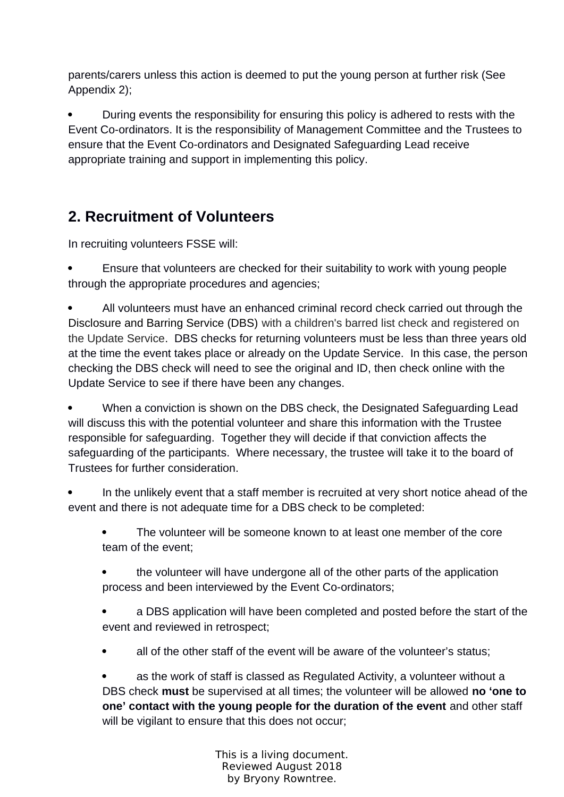parents/carers unless this action is deemed to put the young person at further risk (See Appendix 2);

 During events the responsibility for ensuring this policy is adhered to rests with the Event Co-ordinators. It is the responsibility of Management Committee and the Trustees to ensure that the Event Co-ordinators and Designated Safeguarding Lead receive appropriate training and support in implementing this policy.

## **2. Recruitment of Volunteers**

In recruiting volunteers FSSE will:

 Ensure that volunteers are checked for their suitability to work with young people through the appropriate procedures and agencies;

 All volunteers must have an enhanced criminal record check carried out through the Disclosure and Barring Service (DBS) with a children's barred list check and registered on the Update Service. DBS checks for returning volunteers must be less than three years old at the time the event takes place or already on the Update Service. In this case, the person checking the DBS check will need to see the original and ID, then check online with the Update Service to see if there have been any changes.

 When a conviction is shown on the DBS check, the Designated Safeguarding Lead will discuss this with the potential volunteer and share this information with the Trustee responsible for safeguarding. Together they will decide if that conviction affects the safeguarding of the participants. Where necessary, the trustee will take it to the board of Trustees for further consideration.

 In the unlikely event that a staff member is recruited at very short notice ahead of the event and there is not adequate time for a DBS check to be completed:

- The volunteer will be someone known to at least one member of the core team of the event;
- the volunteer will have undergone all of the other parts of the application process and been interviewed by the Event Co-ordinators;

 a DBS application will have been completed and posted before the start of the event and reviewed in retrospect;

all of the other staff of the event will be aware of the volunteer's status;

 as the work of staff is classed as Regulated Activity, a volunteer without a DBS check **must** be supervised at all times; the volunteer will be allowed **no 'one to one' contact with the young people for the duration of the event** and other staff will be vigilant to ensure that this does not occur;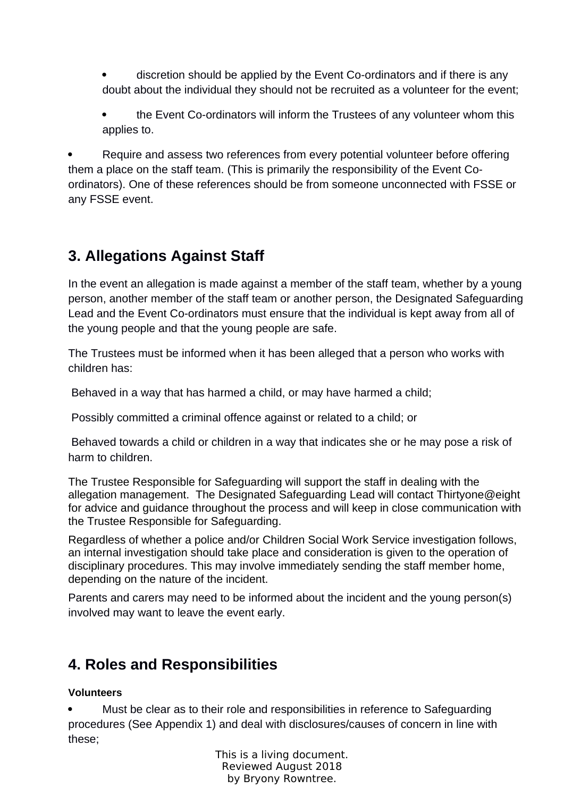discretion should be applied by the Event Co-ordinators and if there is any doubt about the individual they should not be recruited as a volunteer for the event;

 the Event Co-ordinators will inform the Trustees of any volunteer whom this applies to.

 Require and assess two references from every potential volunteer before offering them a place on the staff team. (This is primarily the responsibility of the Event Coordinators). One of these references should be from someone unconnected with FSSE or any FSSE event.

## **3. Allegations Against Staff**

In the event an allegation is made against a member of the staff team, whether by a young person, another member of the staff team or another person, the Designated Safeguarding Lead and the Event Co-ordinators must ensure that the individual is kept away from all of the young people and that the young people are safe.

The Trustees must be informed when it has been alleged that a person who works with children has:

Behaved in a way that has harmed a child, or may have harmed a child;

Possibly committed a criminal offence against or related to a child; or

 Behaved towards a child or children in a way that indicates she or he may pose a risk of harm to children.

The Trustee Responsible for Safeguarding will support the staff in dealing with the allegation management. The Designated Safeguarding Lead will contact Thirtyone@eight for advice and guidance throughout the process and will keep in close communication with the Trustee Responsible for Safeguarding.

Regardless of whether a police and/or Children Social Work Service investigation follows, an internal investigation should take place and consideration is given to the operation of disciplinary procedures. This may involve immediately sending the staff member home, depending on the nature of the incident.

Parents and carers may need to be informed about the incident and the young person(s) involved may want to leave the event early.

## **4. Roles and Responsibilities**

### **Volunteers**

 Must be clear as to their role and responsibilities in reference to Safeguarding procedures (See Appendix 1) and deal with disclosures/causes of concern in line with these;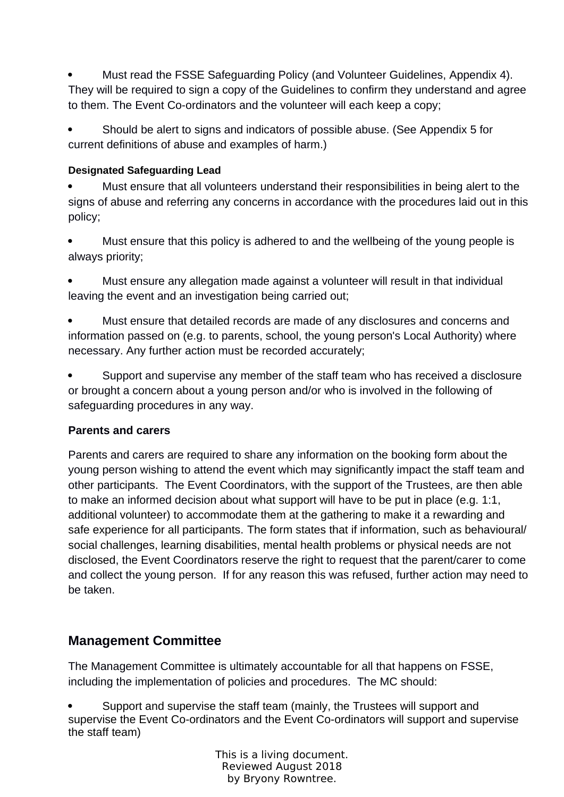Must read the FSSE Safeguarding Policy (and Volunteer Guidelines, Appendix 4). They will be required to sign a copy of the Guidelines to confirm they understand and agree to them. The Event Co-ordinators and the volunteer will each keep a copy;

 Should be alert to signs and indicators of possible abuse. (See Appendix 5 for current definitions of abuse and examples of harm.)

#### **Designated Safeguarding Lead**

 Must ensure that all volunteers understand their responsibilities in being alert to the signs of abuse and referring any concerns in accordance with the procedures laid out in this policy;

 Must ensure that this policy is adhered to and the wellbeing of the young people is always priority;

 Must ensure any allegation made against a volunteer will result in that individual leaving the event and an investigation being carried out;

 Must ensure that detailed records are made of any disclosures and concerns and information passed on (e.g. to parents, school, the young person's Local Authority) where necessary. Any further action must be recorded accurately;

 Support and supervise any member of the staff team who has received a disclosure or brought a concern about a young person and/or who is involved in the following of safeguarding procedures in any way.

### **Parents and carers**

Parents and carers are required to share any information on the booking form about the young person wishing to attend the event which may significantly impact the staff team and other participants. The Event Coordinators, with the support of the Trustees, are then able to make an informed decision about what support will have to be put in place (e.g. 1:1, additional volunteer) to accommodate them at the gathering to make it a rewarding and safe experience for all participants. The form states that if information, such as behavioural/ social challenges, learning disabilities, mental health problems or physical needs are not disclosed, the Event Coordinators reserve the right to request that the parent/carer to come and collect the young person. If for any reason this was refused, further action may need to be taken.

### **Management Committee**

The Management Committee is ultimately accountable for all that happens on FSSE, including the implementation of policies and procedures. The MC should:

 Support and supervise the staff team (mainly, the Trustees will support and supervise the Event Co-ordinators and the Event Co-ordinators will support and supervise the staff team)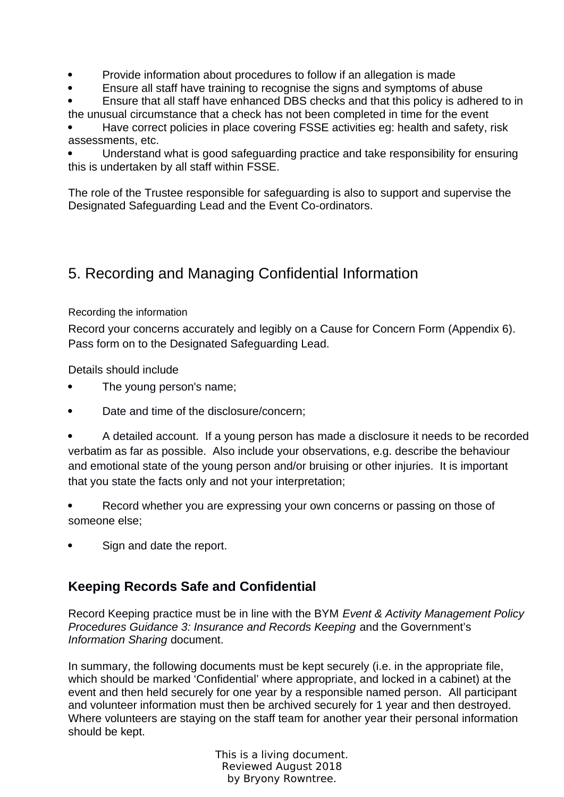- Provide information about procedures to follow if an allegation is made
- Ensure all staff have training to recognise the signs and symptoms of abuse
- Ensure that all staff have enhanced DBS checks and that this policy is adhered to in the unusual circumstance that a check has not been completed in time for the event

 Have correct policies in place covering FSSE activities eg: health and safety, risk assessments, etc.

 Understand what is good safeguarding practice and take responsibility for ensuring this is undertaken by all staff within FSSE.

The role of the Trustee responsible for safeguarding is also to support and supervise the Designated Safeguarding Lead and the Event Co-ordinators.

## 5. Recording and Managing Confidential Information

### Recording the information

Record your concerns accurately and legibly on a Cause for Concern Form (Appendix 6). Pass form on to the Designated Safeguarding Lead.

Details should include

- The young person's name;
- Date and time of the disclosure/concern:

 A detailed account. If a young person has made a disclosure it needs to be recorded verbatim as far as possible. Also include your observations, e.g. describe the behaviour and emotional state of the young person and/or bruising or other injuries. It is important that you state the facts only and not your interpretation;

 Record whether you are expressing your own concerns or passing on those of someone else;

Sign and date the report.

### **Keeping Records Safe and Confidential**

Record Keeping practice must be in line with the BYM *Event & Activity Management Policy Procedures Guidance 3: Insurance and Records Keeping* and the Government's *Information Sharing* document.

In summary, the following documents must be kept securely (i.e. in the appropriate file, which should be marked 'Confidential' where appropriate, and locked in a cabinet) at the event and then held securely for one year by a responsible named person. All participant and volunteer information must then be archived securely for 1 year and then destroyed. Where volunteers are staying on the staff team for another year their personal information should be kept.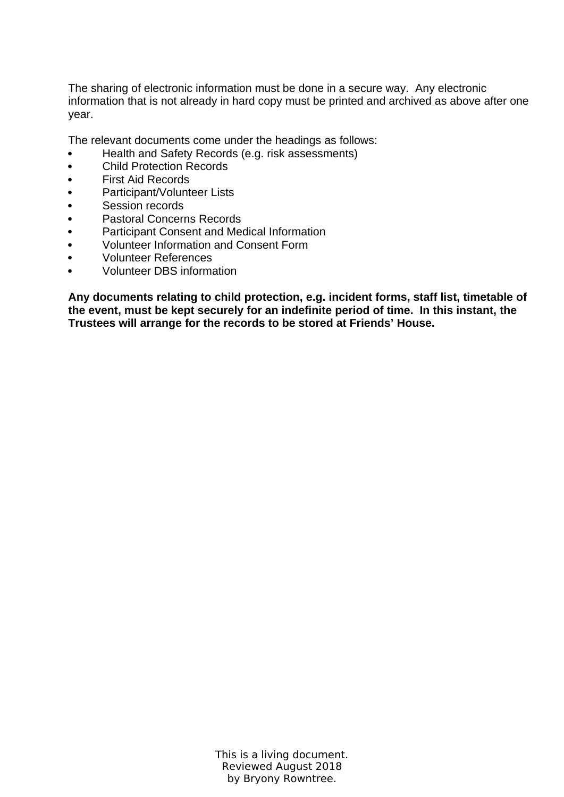The sharing of electronic information must be done in a secure way. Any electronic information that is not already in hard copy must be printed and archived as above after one year.

The relevant documents come under the headings as follows:

- Health and Safety Records (e.g. risk assessments)
- Child Protection Records
- First Aid Records
- Participant/Volunteer Lists
- Session records
- Pastoral Concerns Records
- Participant Consent and Medical Information
- Volunteer Information and Consent Form
- Volunteer References
- Volunteer DBS information

**Any documents relating to child protection, e.g. incident forms, staff list, timetable of the event, must be kept securely for an indefinite period of time. In this instant, the Trustees will arrange for the records to be stored at Friends' House.**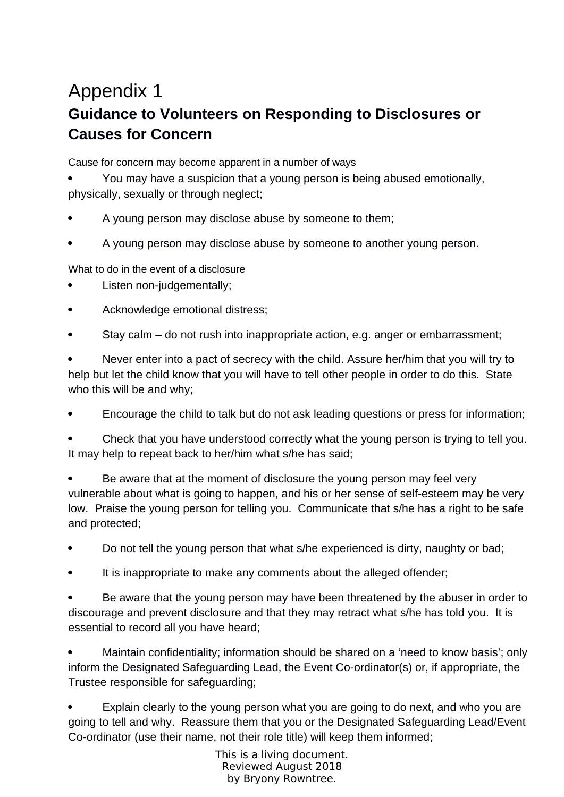## Appendix 1 **Guidance to Volunteers on Responding to Disclosures or Causes for Concern**

Cause for concern may become apparent in a number of ways

 You may have a suspicion that a young person is being abused emotionally, physically, sexually or through neglect;

- A young person may disclose abuse by someone to them;
- A young person may disclose abuse by someone to another young person.

What to do in the event of a disclosure

- Listen non-judgementally;
- Acknowledge emotional distress;
- Stay calm do not rush into inappropriate action, e.g. anger or embarrassment;

 Never enter into a pact of secrecy with the child. Assure her/him that you will try to help but let the child know that you will have to tell other people in order to do this. State who this will be and why;

Encourage the child to talk but do not ask leading questions or press for information;

 Check that you have understood correctly what the young person is trying to tell you. It may help to repeat back to her/him what s/he has said;

 Be aware that at the moment of disclosure the young person may feel very vulnerable about what is going to happen, and his or her sense of self-esteem may be very low. Praise the young person for telling you. Communicate that s/he has a right to be safe and protected;

- Do not tell the young person that what s/he experienced is dirty, naughty or bad;
- It is inappropriate to make any comments about the alleged offender;

 Be aware that the young person may have been threatened by the abuser in order to discourage and prevent disclosure and that they may retract what s/he has told you. It is essential to record all you have heard;

 Maintain confidentiality; information should be shared on a 'need to know basis'; only inform the Designated Safeguarding Lead, the Event Co-ordinator(s) or, if appropriate, the Trustee responsible for safeguarding;

 Explain clearly to the young person what you are going to do next, and who you are going to tell and why. Reassure them that you or the Designated Safeguarding Lead/Event Co-ordinator (use their name, not their role title) will keep them informed;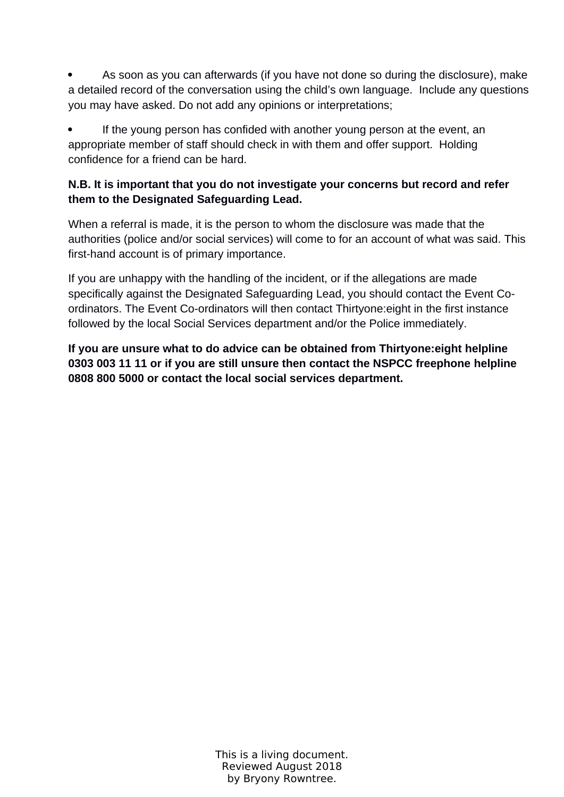As soon as you can afterwards (if you have not done so during the disclosure), make a detailed record of the conversation using the child's own language. Include any questions you may have asked. Do not add any opinions or interpretations;

 If the young person has confided with another young person at the event, an appropriate member of staff should check in with them and offer support. Holding confidence for a friend can be hard.

### **N.B. It is important that you do not investigate your concerns but record and refer them to the Designated Safeguarding Lead.**

When a referral is made, it is the person to whom the disclosure was made that the authorities (police and/or social services) will come to for an account of what was said. This first-hand account is of primary importance.

If you are unhappy with the handling of the incident, or if the allegations are made specifically against the Designated Safeguarding Lead, you should contact the Event Coordinators. The Event Co-ordinators will then contact Thirtyone:eight in the first instance followed by the local Social Services department and/or the Police immediately.

**If you are unsure what to do advice can be obtained from Thirtyone:eight helpline 0303 003 11 11 or if you are still unsure then contact the NSPCC freephone helpline 0808 800 5000 or contact the local social services department.**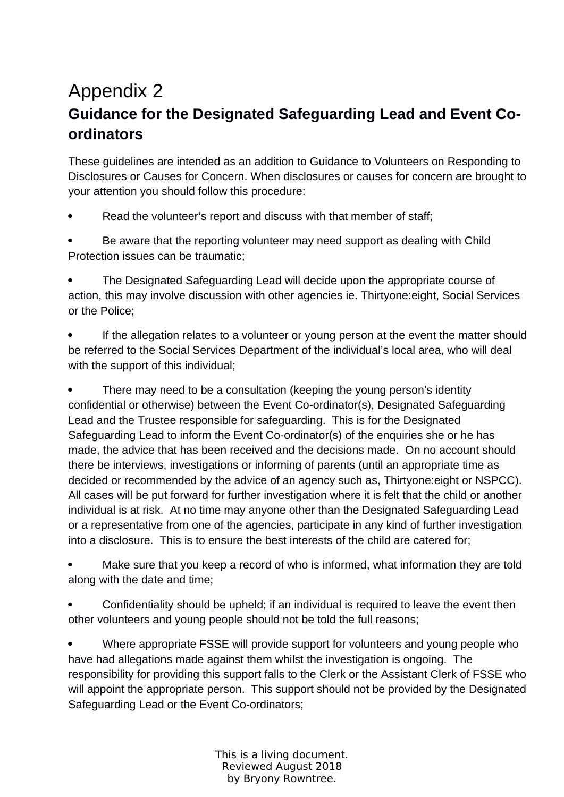## Appendix 2 **Guidance for the Designated Safeguarding Lead and Event Coordinators**

These guidelines are intended as an addition to Guidance to Volunteers on Responding to Disclosures or Causes for Concern. When disclosures or causes for concern are brought to your attention you should follow this procedure:

Read the volunteer's report and discuss with that member of staff;

 Be aware that the reporting volunteer may need support as dealing with Child Protection issues can be traumatic;

 The Designated Safeguarding Lead will decide upon the appropriate course of action, this may involve discussion with other agencies ie. Thirtyone:eight, Social Services or the Police;

 If the allegation relates to a volunteer or young person at the event the matter should be referred to the Social Services Department of the individual's local area, who will deal with the support of this individual;

• There may need to be a consultation (keeping the young person's identity confidential or otherwise) between the Event Co-ordinator(s), Designated Safeguarding Lead and the Trustee responsible for safeguarding. This is for the Designated Safeguarding Lead to inform the Event Co-ordinator(s) of the enquiries she or he has made, the advice that has been received and the decisions made. On no account should there be interviews, investigations or informing of parents (until an appropriate time as decided or recommended by the advice of an agency such as, Thirtyone:eight or NSPCC). All cases will be put forward for further investigation where it is felt that the child or another individual is at risk. At no time may anyone other than the Designated Safeguarding Lead or a representative from one of the agencies, participate in any kind of further investigation into a disclosure. This is to ensure the best interests of the child are catered for;

 Make sure that you keep a record of who is informed, what information they are told along with the date and time;

 Confidentiality should be upheld; if an individual is required to leave the event then other volunteers and young people should not be told the full reasons;

 Where appropriate FSSE will provide support for volunteers and young people who have had allegations made against them whilst the investigation is ongoing. The responsibility for providing this support falls to the Clerk or the Assistant Clerk of FSSE who will appoint the appropriate person. This support should not be provided by the Designated Safeguarding Lead or the Event Co-ordinators;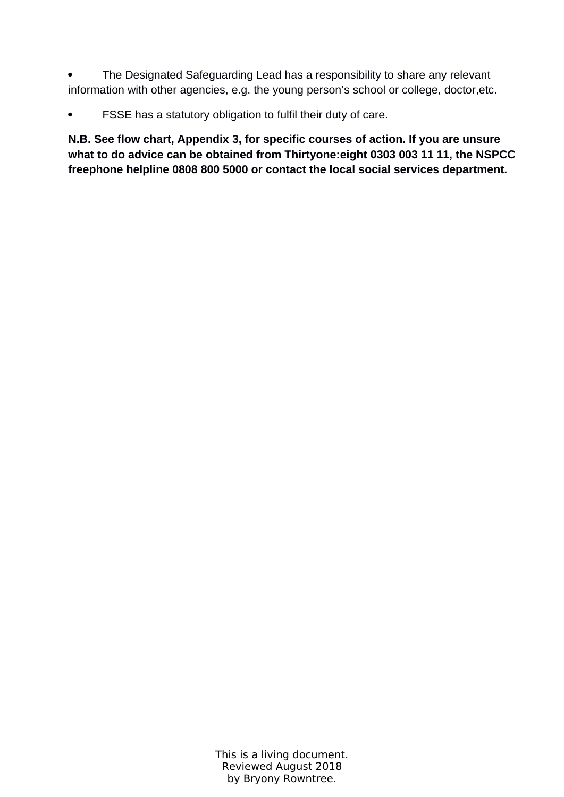• The Designated Safeguarding Lead has a responsibility to share any relevant information with other agencies, e.g. the young person's school or college, doctor,etc.

FSSE has a statutory obligation to fulfil their duty of care.

**N.B. See flow chart, Appendix 3, for specific courses of action. If you are unsure what to do advice can be obtained from Thirtyone:eight 0303 003 11 11, the NSPCC freephone helpline 0808 800 5000 or contact the local social services department.**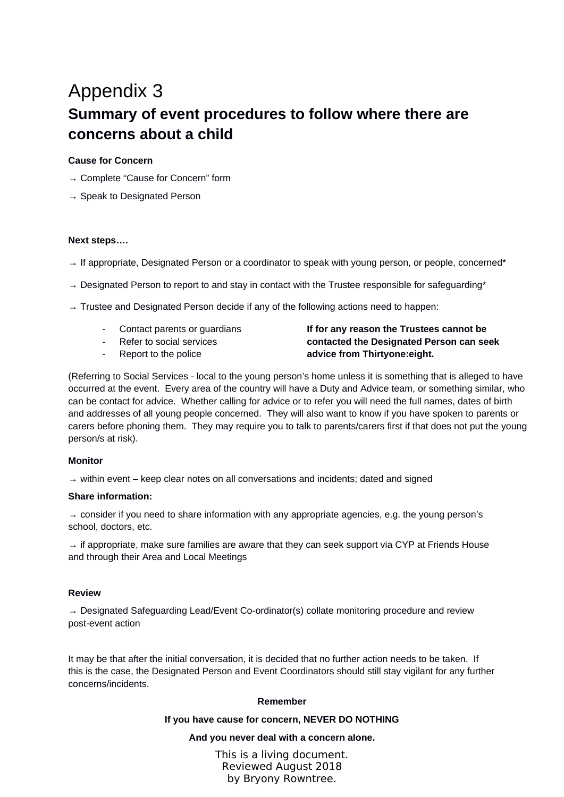## Appendix 3 **Summary of event procedures to follow where there are concerns about a child**

#### **Cause for Concern**

- → Complete "Cause for Concern" form
- $\rightarrow$  Speak to Designated Person

#### **Next steps….**

- $\rightarrow$  If appropriate, Designated Person or a coordinator to speak with young person, or people, concerned\*
- $\rightarrow$  Designated Person to report to and stay in contact with the Trustee responsible for safeguarding\*
- $\rightarrow$  Trustee and Designated Person decide if any of the following actions need to happen:
	-
	-
	-

#### - Contact parents or guardians **If for any reason the Trustees cannot be**  - Refer to social services **contacted the Designated Person can seek**  Report to the police **advice from Thirtyone:eight.**

(Referring to Social Services - local to the young person's home unless it is something that is alleged to have occurred at the event. Every area of the country will have a Duty and Advice team, or something similar, who can be contact for advice. Whether calling for advice or to refer you will need the full names, dates of birth and addresses of all young people concerned. They will also want to know if you have spoken to parents or carers before phoning them. They may require you to talk to parents/carers first if that does not put the young person/s at risk).

#### **Monitor**

 $\rightarrow$  within event – keep clear notes on all conversations and incidents; dated and signed

#### **Share information:**

 $\rightarrow$  consider if you need to share information with any appropriate agencies, e.g. the young person's school, doctors, etc.

 $\rightarrow$  if appropriate, make sure families are aware that they can seek support via CYP at Friends House and through their Area and Local Meetings

#### **Review**

 $\rightarrow$  Designated Safeguarding Lead/Event Co-ordinator(s) collate monitoring procedure and review post-event action

It may be that after the initial conversation, it is decided that no further action needs to be taken. If this is the case, the Designated Person and Event Coordinators should still stay vigilant for any further concerns/incidents.

#### **Remember**

#### **If you have cause for concern, NEVER DO NOTHING**

#### **And you never deal with a concern alone.**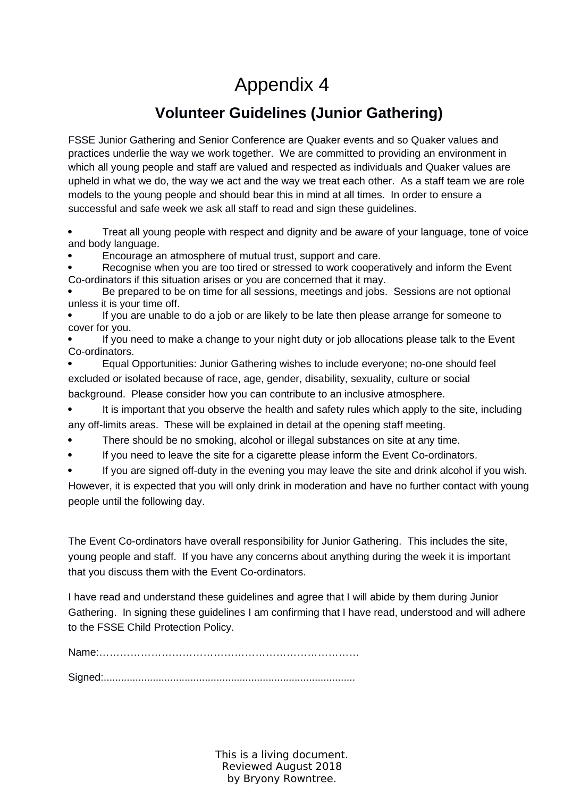# Appendix 4

## **Volunteer Guidelines (Junior Gathering)**

FSSE Junior Gathering and Senior Conference are Quaker events and so Quaker values and practices underlie the way we work together. We are committed to providing an environment in which all young people and staff are valued and respected as individuals and Quaker values are upheld in what we do, the way we act and the way we treat each other. As a staff team we are role models to the young people and should bear this in mind at all times. In order to ensure a successful and safe week we ask all staff to read and sign these guidelines.

 Treat all young people with respect and dignity and be aware of your language, tone of voice and body language.

Encourage an atmosphere of mutual trust, support and care.

 Recognise when you are too tired or stressed to work cooperatively and inform the Event Co-ordinators if this situation arises or you are concerned that it may.

 Be prepared to be on time for all sessions, meetings and jobs. Sessions are not optional unless it is your time off.

 If you are unable to do a job or are likely to be late then please arrange for someone to cover for you.

 If you need to make a change to your night duty or job allocations please talk to the Event Co-ordinators.

 Equal Opportunities: Junior Gathering wishes to include everyone; no-one should feel excluded or isolated because of race, age, gender, disability, sexuality, culture or social background. Please consider how you can contribute to an inclusive atmosphere.

 It is important that you observe the health and safety rules which apply to the site, including any off-limits areas. These will be explained in detail at the opening staff meeting.

- There should be no smoking, alcohol or illegal substances on site at any time.
- If you need to leave the site for a cigarette please inform the Event Co-ordinators.

 If you are signed off-duty in the evening you may leave the site and drink alcohol if you wish. However, it is expected that you will only drink in moderation and have no further contact with young people until the following day.

The Event Co-ordinators have overall responsibility for Junior Gathering. This includes the site, young people and staff. If you have any concerns about anything during the week it is important that you discuss them with the Event Co-ordinators.

I have read and understand these guidelines and agree that I will abide by them during Junior Gathering. In signing these guidelines I am confirming that I have read, understood and will adhere to the FSSE Child Protection Policy.

Name:…………………………………………………………………

Signed:.......................................................................................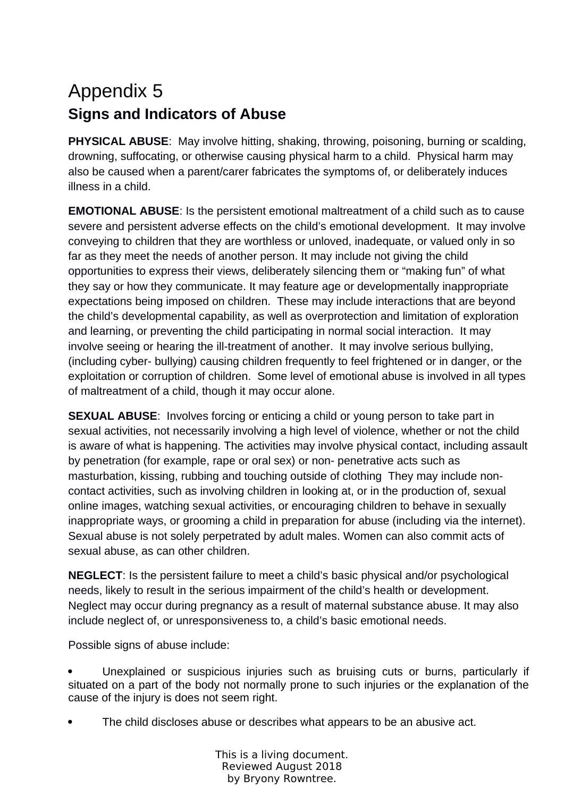# Appendix 5 **Signs and Indicators of Abuse**

**PHYSICAL ABUSE**: May involve hitting, shaking, throwing, poisoning, burning or scalding, drowning, suffocating, or otherwise causing physical harm to a child. Physical harm may also be caused when a parent/carer fabricates the symptoms of, or deliberately induces illness in a child.

**EMOTIONAL ABUSE**: Is the persistent emotional maltreatment of a child such as to cause severe and persistent adverse effects on the child's emotional development. It may involve conveying to children that they are worthless or unloved, inadequate, or valued only in so far as they meet the needs of another person. It may include not giving the child opportunities to express their views, deliberately silencing them or "making fun" of what they say or how they communicate. It may feature age or developmentally inappropriate expectations being imposed on children. These may include interactions that are beyond the child's developmental capability, as well as overprotection and limitation of exploration and learning, or preventing the child participating in normal social interaction. It may involve seeing or hearing the ill-treatment of another. It may involve serious bullying, (including cyber- bullying) causing children frequently to feel frightened or in danger, or the exploitation or corruption of children. Some level of emotional abuse is involved in all types of maltreatment of a child, though it may occur alone.

**SEXUAL ABUSE**: Involves forcing or enticing a child or young person to take part in sexual activities, not necessarily involving a high level of violence, whether or not the child is aware of what is happening. The activities may involve physical contact, including assault by penetration (for example, rape or oral sex) or non- penetrative acts such as masturbation, kissing, rubbing and touching outside of clothing They may include noncontact activities, such as involving children in looking at, or in the production of, sexual online images, watching sexual activities, or encouraging children to behave in sexually inappropriate ways, or grooming a child in preparation for abuse (including via the internet). Sexual abuse is not solely perpetrated by adult males. Women can also commit acts of sexual abuse, as can other children.

**NEGLECT**: Is the persistent failure to meet a child's basic physical and/or psychological needs, likely to result in the serious impairment of the child's health or development. Neglect may occur during pregnancy as a result of maternal substance abuse. It may also include neglect of, or unresponsiveness to, a child's basic emotional needs.

Possible signs of abuse include:

 Unexplained or suspicious injuries such as bruising cuts or burns, particularly if situated on a part of the body not normally prone to such injuries or the explanation of the cause of the injury is does not seem right.

The child discloses abuse or describes what appears to be an abusive act.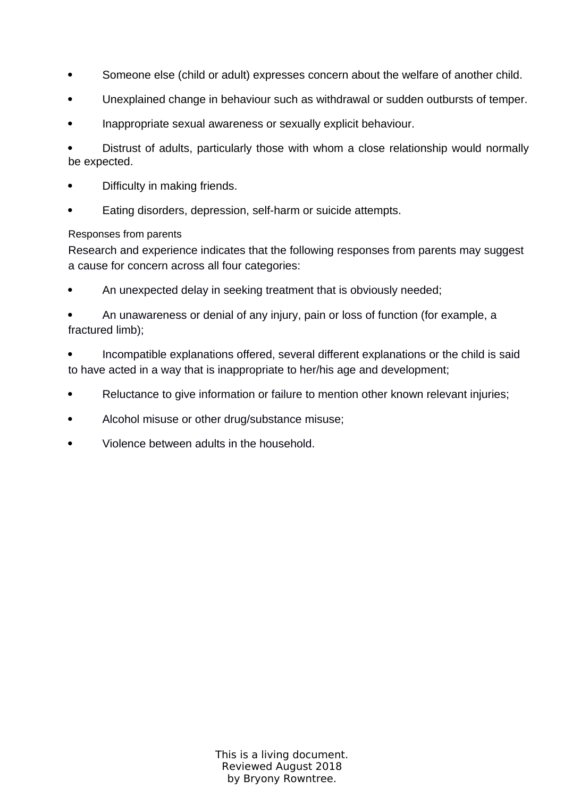- Someone else (child or adult) expresses concern about the welfare of another child.
- Unexplained change in behaviour such as withdrawal or sudden outbursts of temper.
- Inappropriate sexual awareness or sexually explicit behaviour.

 Distrust of adults, particularly those with whom a close relationship would normally be expected.

- Difficulty in making friends.
- Eating disorders, depression, self-harm or suicide attempts.

#### Responses from parents

Research and experience indicates that the following responses from parents may suggest a cause for concern across all four categories:

An unexpected delay in seeking treatment that is obviously needed;

 An unawareness or denial of any injury, pain or loss of function (for example, a fractured limb);

 Incompatible explanations offered, several different explanations or the child is said to have acted in a way that is inappropriate to her/his age and development;

- Reluctance to give information or failure to mention other known relevant injuries;
- Alcohol misuse or other drug/substance misuse;
- Violence between adults in the household.